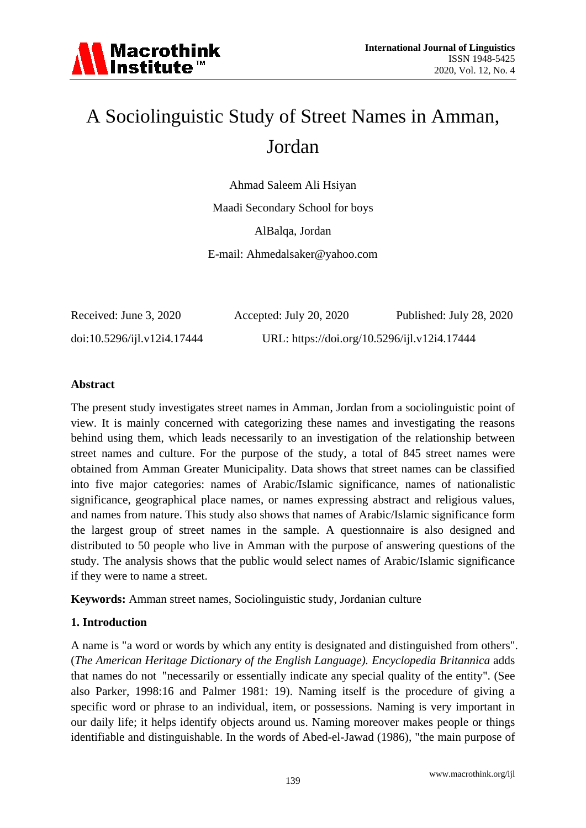# A Sociolinguistic Study of Street Names in Amman, Jordan

Ahmad Saleem Ali Hsiyan Maadi Secondary School for boys AlBalqa, Jordan E-mail: Ahmedalsaker@yahoo.com

| Received: June 3, 2020      | Accepted: July 20, 2020                      | Published: July 28, 2020 |
|-----------------------------|----------------------------------------------|--------------------------|
| doi:10.5296/ijl.v12i4.17444 | URL: https://doi.org/10.5296/ijl.v12i4.17444 |                          |

## **Abstract**

The present study investigates street names in Amman, Jordan from a sociolinguistic point of view. It is mainly concerned with categorizing these names and investigating the reasons behind using them, which leads necessarily to an investigation of the relationship between street names and culture. For the purpose of the study, a total of 845 street names were obtained from Amman Greater Municipality. Data shows that street names can be classified into five major categories: names of Arabic/Islamic significance, names of nationalistic significance, geographical place names, or names expressing abstract and religious values, and names from nature. This study also shows that names of Arabic/Islamic significance form the largest group of street names in the sample. A questionnaire is also designed and distributed to 50 people who live in Amman with the purpose of answering questions of the study. The analysis shows that the public would select names of Arabic/Islamic significance if they were to name a street.

**Keywords:** Amman street names, Sociolinguistic study, Jordanian culture

# **1. Introduction**

A name is "a word or words by which any entity is designated and distinguished from others". (*The American Heritage Dictionary of the English Language). [Encyclopedia](https://www.google.jo/url?sa=t&rct=j&q=&esrc=s&source=web&cd=11&cad=rja&ved=0CC0QFjAAOAo&url=http%3A%2F%2Fwww.britannica.com%2FEBchecked%2Ftopic%2F402224%2Fname&ei=Qm5ZUsLSKeGP0AXN9YCQDg&usg=AFQjCNEvJoORrJE3J88XtCkjPpFeF4dp1w) Britannica* adds that names do not "necessarily or essentially indicate any special quality of the entity". (See also Parker, 1998:16 and Palmer 1981: 19). Naming itself is the procedure of giving a specific word or phrase to an individual, item, or possessions. Naming is very important in our daily life; it helps identify objects around us. Naming moreover makes people or things identifiable and distinguishable. In the words of Abed-el-Jawad (1986), "the main purpose of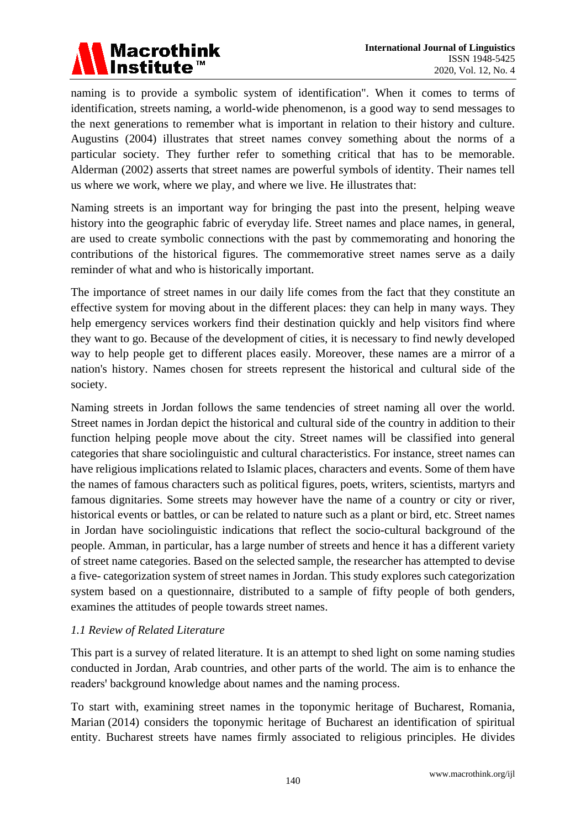

naming is to provide a symbolic system of identification". When it comes to terms of identification, streets naming, a world-wide phenomenon, is a good way to send messages to the next generations to remember what is important in relation to their history and culture. Augustins (2004) illustrates that street names convey something about the norms of a particular society. They further refer to something critical that has to be memorable. Alderman (2002) asserts that street names are powerful symbols of identity. Their names tell us where we work, where we play, and where we live. He illustrates that:

Naming streets is an important way for bringing the past into the present, helping weave history into the geographic fabric of everyday life. Street names and place names, in general, are used to create symbolic connections with the past by commemorating and honoring the contributions of the historical figures. The commemorative street names serve as a daily reminder of what and who is historically important.

The importance of street names in our daily life comes from the fact that they constitute an effective system for moving about in the different places: they can help in many ways. They help emergency services workers find their destination quickly and help visitors find where they want to go. Because of the development of cities, it is necessary to find newly developed way to help people get to different places easily. Moreover, these names are a mirror of a nation's history. Names chosen for streets represent the historical and cultural side of the society.

Naming streets in Jordan follows the same tendencies of street naming all over the world. Street names in Jordan depict the historical and cultural side of the country in addition to their function helping people move about the city. Street names will be classified into general categories that share sociolinguistic and cultural characteristics. For instance, street names can have religious implications related to Islamic places, characters and events. Some of them have the names of famous characters such as political figures, poets, writers, scientists, martyrs and famous dignitaries. Some streets may however have the name of a country or city or river, historical events or battles, or can be related to nature such as a plant or bird, etc. Street names in Jordan have sociolinguistic indications that reflect the socio-cultural background of the people. Amman, in particular, has a large number of streets and hence it has a different variety of street name categories. Based on the selected sample, the researcher has attempted to devise a five- categorization system of street names in Jordan. This study explores such categorization system based on a questionnaire, distributed to a sample of fifty people of both genders, examines the attitudes of people towards street names.

#### *1.1 Review of Related Literature*

This part is a survey of related literature. It is an attempt to shed light on some naming studies conducted in Jordan, Arab countries, and other parts of the world. The aim is to enhance the readers' background knowledge about names and the naming process.

To start with, examining street names in the toponymic heritage of Bucharest, [Romania,](javascript:__doLinkPostBack() [Marian](javascript:__doLinkPostBack() (2014) considers the toponymic heritage of Bucharest an identification of spiritual entity. Bucharest streets have names firmly associated to religious principles. He divides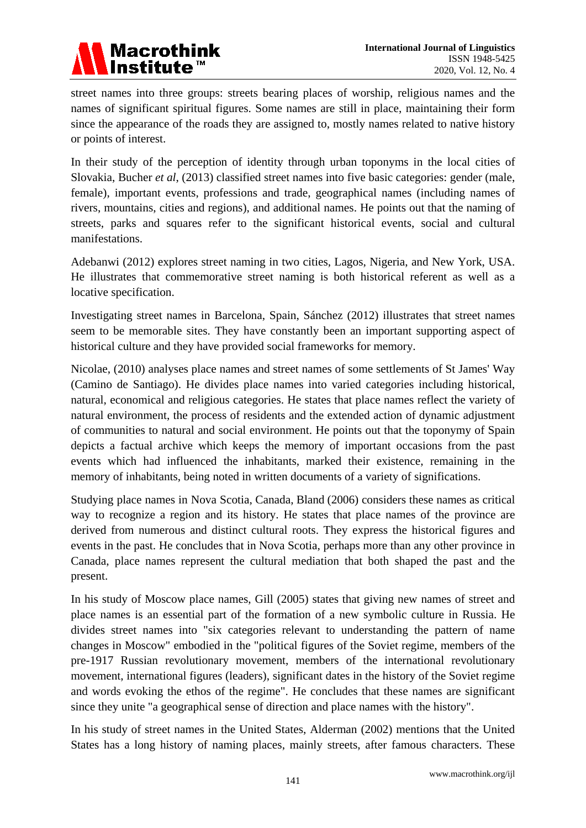

street names into three groups: streets bearing places of worship, religious names and the names of significant spiritual figures. Some names are still in place, maintaining their form since the appearance of the roads they are assigned to, mostly names related to native history or points of interest.

In their study of the perception of identity through urban toponyms in the local cities of Slovakia, Bucher *et al*, (2013) classified street names into five basic categories: gender (male, female), important events, professions and trade, geographical names (including names of rivers, mountains, cities and regions), and additional names. He points out that the naming of streets, parks and squares refer to the significant historical events, social and cultural manifestations.

Adebanwi (2012) explores street naming in two cities, Lagos, Nigeria, and New York, USA. He illustrates that commemorative street naming is both historical referent as well as a locative specification.

Investigating street names in Barcelona, Spain, Sánchez (2012) illustrates that street names seem to be memorable sites. They have constantly been an important supporting aspect of historical culture and they have provided social frameworks for memory.

Nicolae, (2010) analyses place names and street names of some settlements of St James' Way (Camino de Santiago). He divides place names into varied categories including historical, natural, economical and religious categories. He states that place names reflect the variety of natural environment, the process of residents and the extended action of dynamic adjustment of communities to natural and social environment. He points out that the toponymy of Spain depicts a factual archive which keeps the memory of important occasions from the past events which had influenced the inhabitants, marked their existence, remaining in the memory of inhabitants, being noted in written documents of a variety of significations.

Studying place names in Nova Scotia, [Canada,](http://en.wikipedia.org/wiki/Canada) Bland (2006) considers these names as critical way to recognize a region and its history. He states that place names of the province are derived from numerous and distinct cultural roots. They express the historical figures and events in the past. He concludes that in Nova Scotia, perhaps more than any other province in Canada, place names represent the cultural mediation that both shaped the past and the present.

In his study of Moscow place names, Gill (2005) states that giving new names of street and place names is an essential part of the formation of a new symbolic culture in Russia. He divides street names into "six categories relevant to understanding the pattern of name changes in Moscow" embodied in the "political figures of the Soviet regime, members of the pre-1917 Russian revolutionary movement, members of the international revolutionary movement, international figures (leaders), significant dates in the history of the Soviet regime and words evoking the ethos of the regime". He concludes that these names are significant since they unite "a geographical sense of direction and place names with the history".

In his study of street names in the United States, Alderman (2002) mentions that the United States has a long history of naming places, mainly streets, after famous characters. These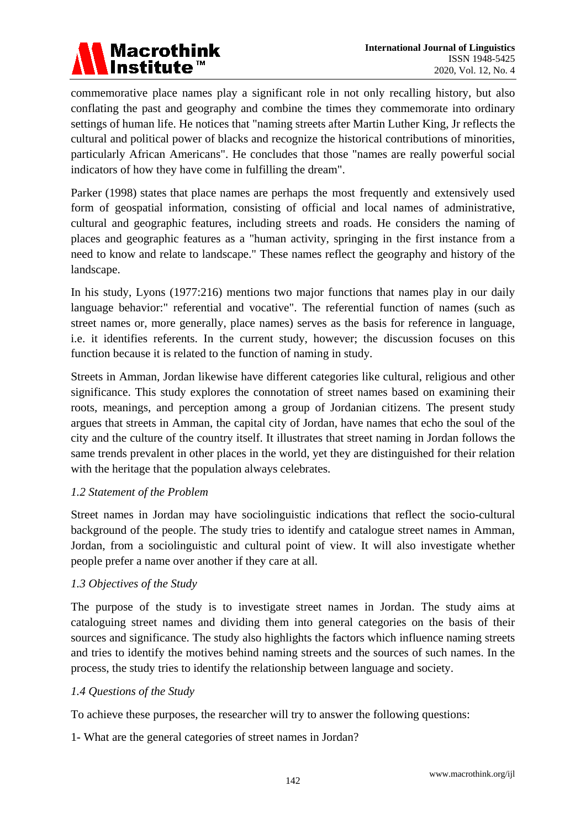

commemorative place names play a significant role in not only recalling history, but also conflating the past and geography and combine the times they commemorate into ordinary settings of human life. He notices that "naming streets after Martin Luther King, Jr reflects the cultural and political power of blacks and recognize the historical contributions of minorities, particularly African Americans". He concludes that those "names are really powerful social indicators of how they have come in fulfilling the dream".

Parker (1998) states that place names are perhaps the most frequently and extensively used form of geospatial information, consisting of official and local names of administrative, cultural and geographic features, including streets and roads. He considers the naming of places and geographic features as a "human activity, springing in the first instance from a need to know and relate to landscape." These names reflect the geography and history of the landscape.

In his study, Lyons (1977:216) mentions two major functions that names play in our daily language behavior:" referential and vocative". The referential function of names (such as street names or, more generally, place names) serves as the basis for reference in language, i.e. it identifies referents. In the current study, however; the discussion focuses on this function because it is related to the function of naming in study.

Streets in Amman, Jordan likewise have different categories like cultural, religious and other significance. This study explores the connotation of street names based on examining their roots, meanings, and perception among a group of Jordanian citizens. The present study argues that streets in Amman, the capital city of Jordan, have names that echo the soul of the city and the culture of the country itself. It illustrates that street naming in Jordan follows the same trends prevalent in other places in the world, yet they are distinguished for their relation with the heritage that the population always celebrates.

# *1.2 Statement of the Problem*

Street names in Jordan may have sociolinguistic indications that reflect the socio-cultural background of the people. The study tries to identify and catalogue street names in Amman, Jordan, from a sociolinguistic and cultural point of view. It will also investigate whether people prefer a name over another if they care at all.

# *1.3 Objectives of the Study*

The purpose of the study is to investigate street names in Jordan. The study aims at cataloguing street names and dividing them into general categories on the basis of their sources and significance. The study also highlights the factors which influence naming streets and tries to identify the motives behind naming streets and the sources of such names. In the process, the study tries to identify the relationship between language and society.

#### *1.4 Questions of the Study*

To achieve these purposes, the researcher will try to answer the following questions:

1- What are the general categories of street names in Jordan?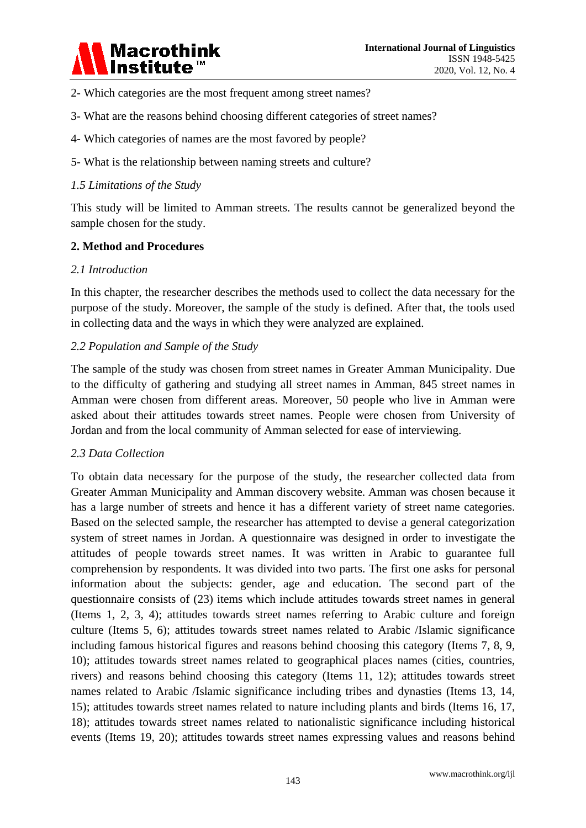

- 2- Which categories are the most frequent among street names?
- 3- What are the reasons behind choosing different categories of street names?
- 4- Which categories of names are the most favored by people?
- 5- What is the relationship between naming streets and culture?

## *1.5 Limitations of the Study*

This study will be limited to Amman streets. The results cannot be generalized beyond the sample chosen for the study.

## **2. Method and Procedures**

#### *2.1 Introduction*

In this chapter, the researcher describes the methods used to collect the data necessary for the purpose of the study. Moreover, the sample of the study is defined. After that, the tools used in collecting data and the ways in which they were analyzed are explained.

## *2.2 Population and Sample of the Study*

The sample of the study was chosen from street names in Greater Amman Municipality. Due to the difficulty of gathering and studying all street names in Amman, 845 street names in Amman were chosen from different areas. Moreover, 50 people who live in Amman were asked about their attitudes towards street names. People were chosen from University of Jordan and from the local community of Amman selected for ease of interviewing.

#### *2.3 Data Collection*

To obtain data necessary for the purpose of the study, the researcher collected data from Greater Amman Municipality and Amman discovery website. Amman was chosen because it has a large number of streets and hence it has a different variety of street name categories. Based on the selected sample, the researcher has attempted to devise a general categorization system of street names in Jordan. A questionnaire was designed in order to investigate the attitudes of people towards street names. It was written in Arabic to guarantee full comprehension by respondents. It was divided into two parts. The first one asks for personal information about the subjects: gender, age and education. The second part of the questionnaire consists of (23) items which include attitudes towards street names in general (Items 1, 2, 3, 4); attitudes towards street names referring to Arabic culture and foreign culture (Items 5, 6); attitudes towards street names related to Arabic /Islamic significance including famous historical figures and reasons behind choosing this category (Items 7, 8, 9, 10); attitudes towards street names related to geographical places names (cities, countries, rivers) and reasons behind choosing this category (Items 11, 12); attitudes towards street names related to Arabic /Islamic significance including tribes and dynasties (Items 13, 14, 15); attitudes towards street names related to nature including plants and birds (Items 16, 17, 18); attitudes towards street names related to nationalistic significance including historical events (Items 19, 20); attitudes towards street names expressing values and reasons behind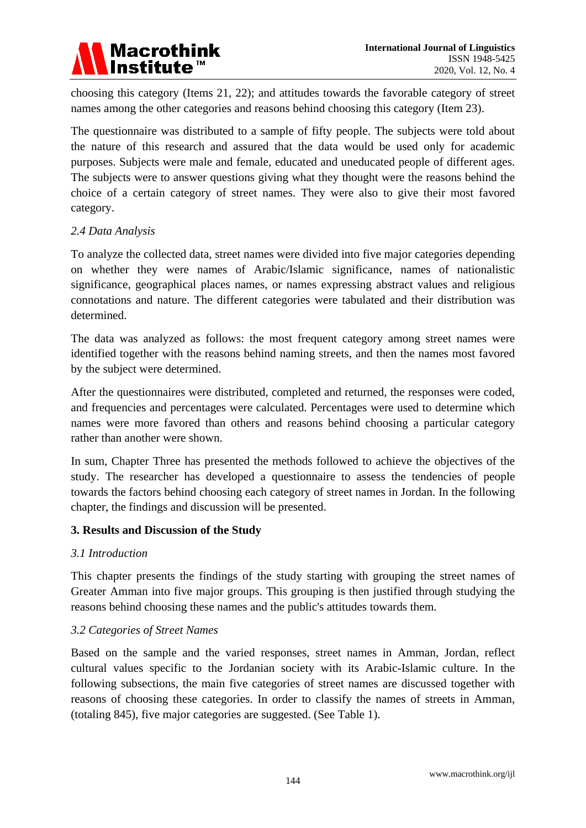

choosing this category (Items 21, 22); and attitudes towards the favorable category of street names among the other categories and reasons behind choosing this category (Item 23).

The questionnaire was distributed to a sample of fifty people. The subjects were told about the nature of this research and assured that the data would be used only for academic purposes. Subjects were male and female, educated and uneducated people of different ages. The subjects were to answer questions giving what they thought were the reasons behind the choice of a certain category of street names. They were also to give their most favored category.

## *2.4 Data Analysis*

To analyze the collected data, street names were divided into five major categories depending on whether they were names of Arabic/Islamic significance, names of nationalistic significance, geographical places names, or names expressing abstract values and religious connotations and nature. The different categories were tabulated and their distribution was determined.

The data was analyzed as follows: the most frequent category among street names were identified together with the reasons behind naming streets, and then the names most favored by the subject were determined.

After the questionnaires were distributed, completed and returned, the responses were coded, and frequencies and percentages were calculated. Percentages were used to determine which names were more favored than others and reasons behind choosing a particular category rather than another were shown.

In sum, Chapter Three has presented the methods followed to achieve the objectives of the study. The researcher has developed a questionnaire to assess the tendencies of people towards the factors behind choosing each category of street names in Jordan. In the following chapter, the findings and discussion will be presented.

#### **3. Results and Discussion of the Study**

#### *3.1 Introduction*

This chapter presents the findings of the study starting with grouping the street names of Greater Amman into five major groups. This grouping is then justified through studying the reasons behind choosing these names and the public's attitudes towards them.

#### *3.2 Categories of Street Names*

Based on the sample and the varied responses, street names in Amman, Jordan, reflect cultural values specific to the Jordanian society with its Arabic-Islamic culture. In the following subsections, the main five categories of street names are discussed together with reasons of choosing these categories. In order to classify the names of streets in Amman, (totaling 845), five major categories are suggested. (See Table 1).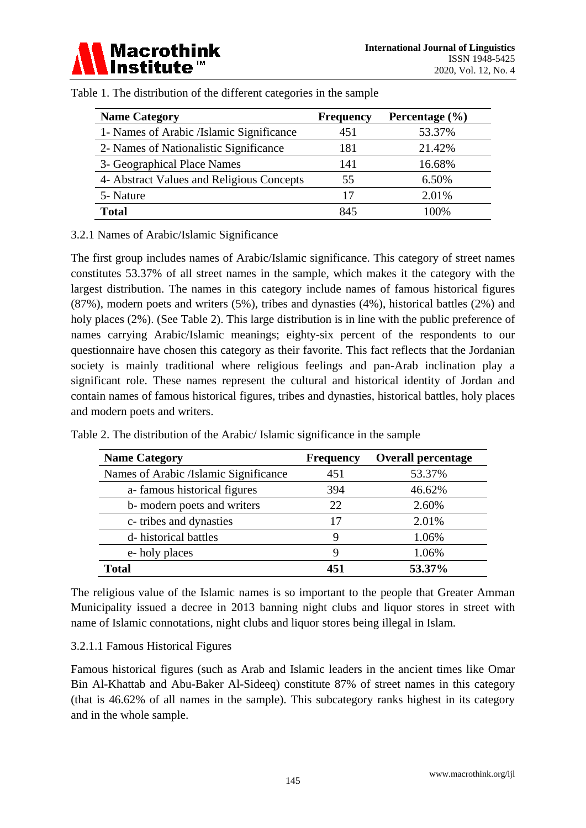

| <b>Name Category</b>                      | <b>Frequency</b> | Percentage $(\% )$ |
|-------------------------------------------|------------------|--------------------|
| 1- Names of Arabic /Islamic Significance  | 451              | 53.37%             |
| 2- Names of Nationalistic Significance    | 181              | 21.42%             |
| 3- Geographical Place Names               | 141              | 16.68%             |
| 4- Abstract Values and Religious Concepts | 55               | 6.50%              |
| 5- Nature                                 | 17               | 2.01%              |
| Total                                     | 845              | 100%               |

Table 1. The distribution of the different categories in the sample

3.2.1 Names of Arabic/Islamic Significance

The first group includes names of Arabic/Islamic significance. This category of street names constitutes 53.37% of all street names in the sample, which makes it the category with the largest distribution. The names in this category include names of famous historical figures (87%), modern poets and writers (5%), tribes and dynasties (4%), historical battles (2%) and holy places (2%). (See Table 2). This large distribution is in line with the public preference of names carrying Arabic/Islamic meanings; eighty-six percent of the respondents to our questionnaire have chosen this category as their favorite. This fact reflects that the Jordanian society is mainly traditional where religious feelings and pan-Arab inclination play a significant role. These names represent the cultural and historical identity of Jordan and contain names of famous historical figures, tribes and dynasties, historical battles, holy places and modern poets and writers.

| <b>Name Category</b>                  | <b>Frequency</b> | <b>Overall percentage</b> |
|---------------------------------------|------------------|---------------------------|
| Names of Arabic /Islamic Significance | 451              | 53.37%                    |
| a-famous historical figures           | 394              | 46.62%                    |
| b- modern poets and writers           | 22               | 2.60%                     |
| c-tribes and dynasties                | 17               | 2.01%                     |
| d-historical battles                  | 9                | 1.06%                     |
| e-holy places                         | 9                | 1.06%                     |
| Total                                 |                  | 53.37%                    |

Table 2. The distribution of the Arabic/ Islamic significance in the sample

The religious value of the Islamic names is so important to the people that Greater Amman Municipality issued a decree in 2013 banning night clubs and liquor stores in street with name of Islamic connotations, night clubs and liquor stores being illegal in Islam.

# 3.2.1.1 Famous Historical Figures

Famous historical figures (such as Arab and Islamic leaders in the ancient times like Omar Bin Al-Khattab and Abu-Baker Al-Sideeq) constitute 87% of street names in this category (that is 46.62% of all names in the sample). This subcategory ranks highest in its category and in the whole sample.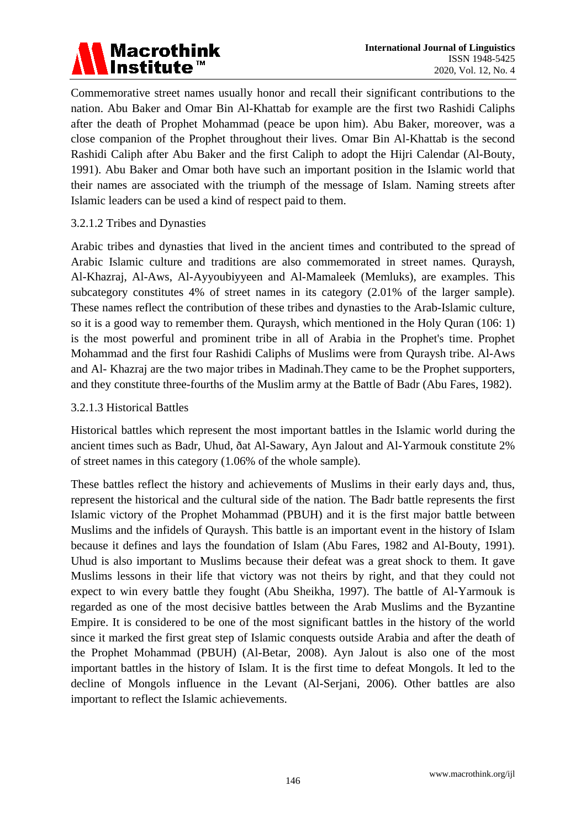

Commemorative street names usually honor and recall their significant contributions to the nation. Abu Baker and Omar Bin Al-Khattab for example are the first two Rashidi Caliphs after the death of Prophet Mohammad (peace be upon him). Abu Baker, moreover, was a close companion of the Prophet throughout their lives. Omar Bin Al-Khattab is the second Rashidi Caliph after Abu Baker and the first Caliph to adopt the Hijri Calendar (Al-Bouty, 1991). Abu Baker and Omar both have such an important position in the Islamic world that their names are associated with the triumph of the message of Islam. Naming streets after Islamic leaders can be used a kind of respect paid to them.

## 3.2.1.2 Tribes and Dynasties

Arabic tribes and dynasties that lived in the ancient times and contributed to the spread of Arabic Islamic culture and traditions are also commemorated in street names. Quraysh, Al-Khazraj, Al-Aws, Al-Ayyoubiyyeen and Al-Mamaleek (Memluks), are examples. This subcategory constitutes 4% of street names in its category (2.01% of the larger sample). These names reflect the contribution of these tribes and dynasties to the Arab-Islamic culture, so it is a good way to remember them. Quraysh, which mentioned in the Holy Quran (106: 1) is the most powerful and prominent tribe in all of Arabia in the Prophet's time. Prophet Mohammad and the first four Rashidi Caliphs of Muslims were from Quraysh tribe. Al-Aws and Al- Khazraj are the two major tribes in Madinah.They came to be the Prophet supporters, and they constitute three-fourths of the Muslim army at the Battle of Badr (Abu Fares, 1982).

## 3.2.1.3 Historical Battles

Historical battles which represent the most important battles in the Islamic world during the ancient times such as Badr, Uhud, ðat Al-Sawary, Ayn Jalout and Al-Yarmouk constitute 2% of street names in this category (1.06% of the whole sample).

These battles reflect the history and achievements of Muslims in their early days and, thus, represent the historical and the cultural side of the nation. The Badr battle represents the first Islamic victory of the Prophet Mohammad (PBUH) and it is the first major battle between Muslims and the infidels of Quraysh. This battle is an important event in the history of Islam because it defines and lays the foundation of Islam (Abu Fares, 1982 and Al-Bouty, 1991). Uhud is also important to Muslims because their defeat was a great shock to them. It gave Muslims lessons in their life that victory was not theirs by right, and that they could not expect to win every battle they fought (Abu Sheikha, 1997). The battle of Al-Yarmouk is regarded as one of the most decisive battles between the Arab Muslims and the Byzantine Empire. It is considered to be one of the most significant battles in the history of the world since it marked the first great step of Islamic conquests outside Arabia and after the death of the Prophet Mohammad (PBUH) (Al-Betar, 2008). Ayn Jalout is also one of the most important battles in the history of Islam. It is the first time to defeat Mongols. It led to the decline of Mongols influence in the Levant (Al-Serjani, 2006). Other battles are also important to reflect the Islamic achievements.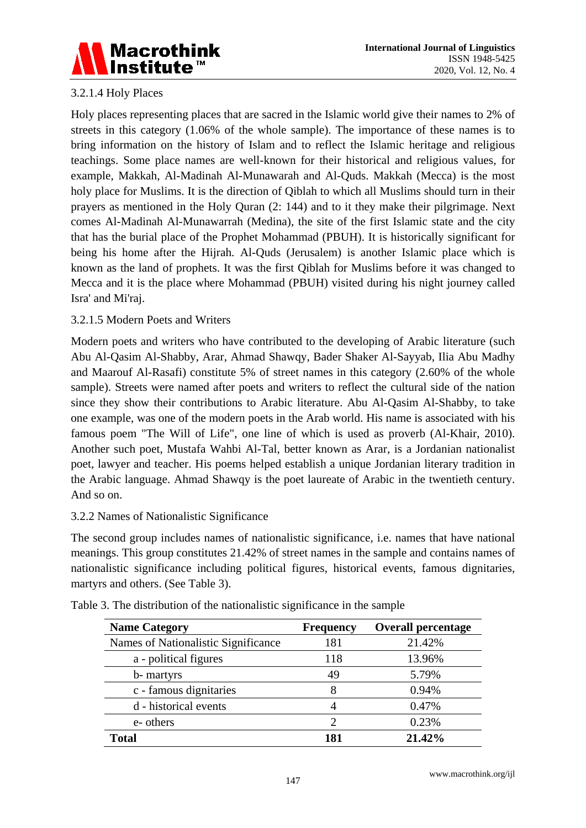

# 3.2.1.4 Holy Places

Holy places representing places that are sacred in the Islamic world give their names to 2% of streets in this category (1.06% of the whole sample). The importance of these names is to bring information on the history of Islam and to reflect the Islamic heritage and religious teachings. Some place names are well-known for their historical and religious values, for example, Makkah, Al-Madinah Al-Munawarah and Al-Quds. Makkah (Mecca) is the most holy place for Muslims. It is the direction of Qiblah to which all Muslims should turn in their prayers as mentioned in the Holy Quran (2: 144) and to it they make their pilgrimage. Next comes Al-Madinah Al-Munawarrah (Medina), the site of the first Islamic state and the city that has the burial place of the Prophet Mohammad (PBUH). It is historically significant for being his home after the Hijrah. Al-Quds (Jerusalem) is another Islamic place which is known as the land of prophets. It was the first Qiblah for Muslims before it was changed to Mecca and it is the place where Mohammad (PBUH) visited during his night journey called Isra' and Mi'raj.

## 3.2.1.5 Modern Poets and Writers

Modern poets and writers who have contributed to the developing of Arabic literature (such Abu Al-Qasim Al-Shabby, Arar, Ahmad Shawqy, Bader Shaker Al-Sayyab, Ilia Abu Madhy and Maarouf Al-Rasafi) constitute 5% of street names in this category (2.60% of the whole sample). Streets were named after poets and writers to reflect the cultural side of the nation since they show their contributions to Arabic literature. Abu Al-Qasim Al-Shabby, to take one example, was one of the modern poets in the Arab world. His name is associated with his famous poem "The Will of Life", one line of which is used as proverb (Al-Khair, 2010). Another such poet, Mustafa Wahbi Al-Tal, better known as Arar, is a Jordanian nationalist poet, lawyer and teacher. His poems helped establish a unique Jordanian literary tradition in the Arabic language. Ahmad Shawqy is the poet laureate of Arabic in the twentieth century. And so on.

#### 3.2.2 Names of Nationalistic Significance

The second group includes names of nationalistic significance, i.e. names that have national meanings. This group constitutes 21.42% of street names in the sample and contains names of nationalistic significance including political figures, historical events, famous dignitaries, martyrs and others. (See Table 3).

| <b>Name Category</b>                | <b>Frequency</b> | <b>Overall percentage</b> |
|-------------------------------------|------------------|---------------------------|
| Names of Nationalistic Significance | 181              | 21.42%                    |
| a - political figures               | 118              | 13.96%                    |
| b- martyrs                          | 49               | 5.79%                     |
| c - famous dignitaries              |                  | 0.94%                     |
| d - historical events               |                  | 0.47%                     |
| e- others                           | 2                | 0.23%                     |
| Total                               | 181              | 21.42%                    |

Table 3. The distribution of the nationalistic significance in the sample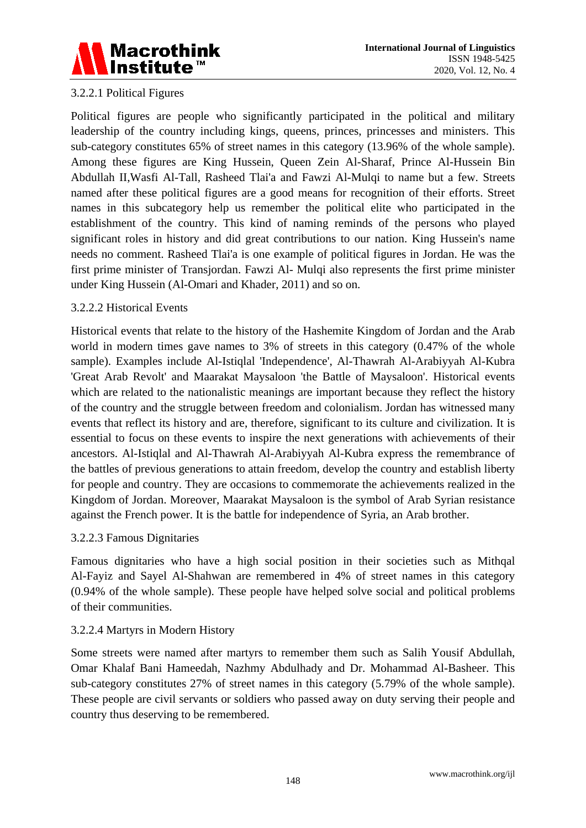

# 3.2.2.1 Political Figures

Political figures are people who significantly participated in the political and military leadership of the country including kings, queens, princes, princesses and ministers. This sub-category constitutes 65% of street names in this category (13.96% of the whole sample). Among these figures are King Hussein, Queen Zein Al-Sharaf, Prince Al-Hussein Bin Abdullah II,Wasfi Al-Tall, Rasheed Tlai'a and Fawzi Al-Mulqi to name but a few. Streets named after these political figures are a good means for recognition of their efforts. Street names in this subcategory help us remember the political elite who participated in the establishment of the country. This kind of naming reminds of the persons who played significant roles in history and did great contributions to our nation. King Hussein's name needs no comment. Rasheed Tlai'a is one example of political figures in Jordan. He was the first prime minister of Transjordan. Fawzi Al- Mulqi also represents the first prime minister under King Hussein (Al-Omari and Khader, 2011) and so on.

#### 3.2.2.2 Historical Events

Historical events that relate to the history of the Hashemite Kingdom of Jordan and the Arab world in modern times gave names to 3% of streets in this category (0.47% of the whole sample). Examples include Al-Istiqlal 'Independence', Al-Thawrah Al-Arabiyyah Al-Kubra 'Great Arab Revolt' and Maarakat Maysaloon 'the Battle of Maysaloon'. Historical events which are related to the nationalistic meanings are important because they reflect the history of the country and the struggle between freedom and colonialism. Jordan has witnessed many events that reflect its history and are, therefore, significant to its culture and civilization. It is essential to focus on these events to inspire the next generations with achievements of their ancestors. Al-Istiqlal and Al-Thawrah Al-Arabiyyah Al-Kubra express the remembrance of the battles of previous generations to attain freedom, develop the country and establish liberty for people and country. They are occasions to commemorate the achievements realized in the Kingdom of Jordan. Moreover, Maarakat Maysaloon is the symbol of Arab Syrian resistance against the French power. It is the battle for independence of Syria, an Arab brother.

#### 3.2.2.3 Famous Dignitaries

Famous dignitaries who have a high social position in their societies such as Mithqal Al-Fayiz and Sayel Al-Shahwan are remembered in 4% of street names in this category (0.94% of the whole sample). These people have helped solve social and political problems of their communities.

#### 3.2.2.4 Martyrs in Modern History

Some streets were named after martyrs to remember them such as Salih Yousif Abdullah, Omar Khalaf Bani Hameedah, Nazhmy Abdulhady and Dr. Mohammad Al-Basheer. This sub-category constitutes 27% of street names in this category (5.79% of the whole sample). These people are civil servants or soldiers who passed away on duty serving their people and country thus deserving to be remembered.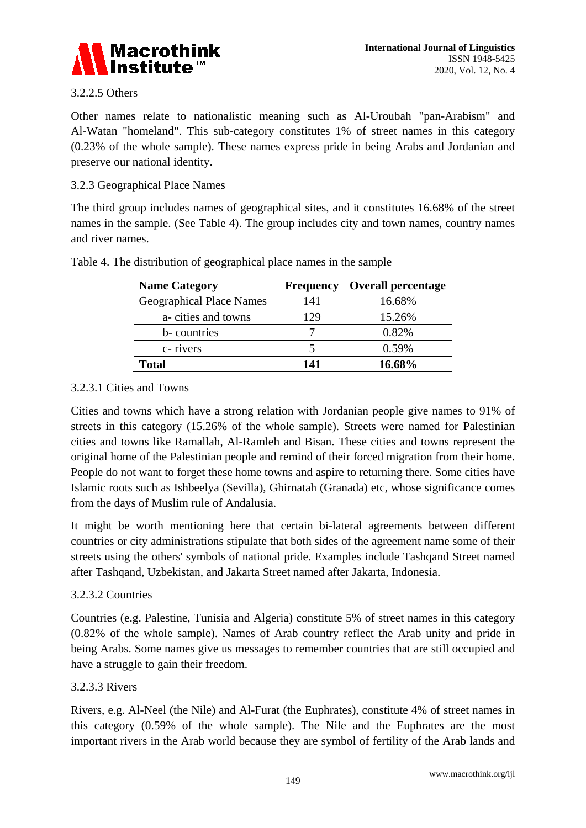

# 3.2.2.5 Others

Other names relate to nationalistic meaning such as Al-Uroubah "pan-Arabism" and Al-Watan "homeland". This sub-category constitutes 1% of street names in this category (0.23% of the whole sample). These names express pride in being Arabs and Jordanian and preserve our national identity.

# 3.2.3 Geographical Place Names

The third group includes names of geographical sites, and it constitutes 16.68% of the street names in the sample. (See Table 4). The group includes city and town names, country names and river names.

| <b>Name Category</b>            | <b>Frequency</b> | <b>Overall percentage</b> |
|---------------------------------|------------------|---------------------------|
| <b>Geographical Place Names</b> | 141              | 16.68%                    |
| a-cities and towns              | 129              | 15.26%                    |
| b-countries                     |                  | 0.82%                     |
| c-rivers                        |                  | 0.59%                     |
| <b>Total</b>                    | 141              | 16.68%                    |

Table 4. The distribution of geographical place names in the sample

# 3.2.3.1 Cities and Towns

Cities and towns which have a strong relation with Jordanian people give names to 91% of streets in this category (15.26% of the whole sample). Streets were named for Palestinian cities and towns like Ramallah, Al-Ramleh and Bisan. These cities and towns represent the original home of the Palestinian people and remind of their forced migration from their home. People do not want to forget these home towns and aspire to returning there. Some cities have Islamic roots such as Ishbeelya (Sevilla), Ghirnatah (Granada) etc, whose significance comes from the days of Muslim rule of Andalusia.

It might be worth mentioning here that certain bi-lateral agreements between different countries or city administrations stipulate that both sides of the agreement name some of their streets using the others' symbols of national pride. Examples include Tashqand Street named after Tashqand, Uzbekistan, and Jakarta Street named after Jakarta, Indonesia.

# 3.2.3.2 Countries

Countries (e.g. Palestine, Tunisia and Algeria) constitute 5% of street names in this category (0.82% of the whole sample). Names of Arab country reflect the Arab unity and pride in being Arabs. Some names give us messages to remember countries that are still occupied and have a struggle to gain their freedom.

# 3.2.3.3 Rivers

Rivers, e.g. Al-Neel (the Nile) and Al-Furat (the Euphrates), constitute 4% of street names in this category (0.59% of the whole sample). The Nile and the Euphrates are the most important rivers in the Arab world because they are symbol of fertility of the Arab lands and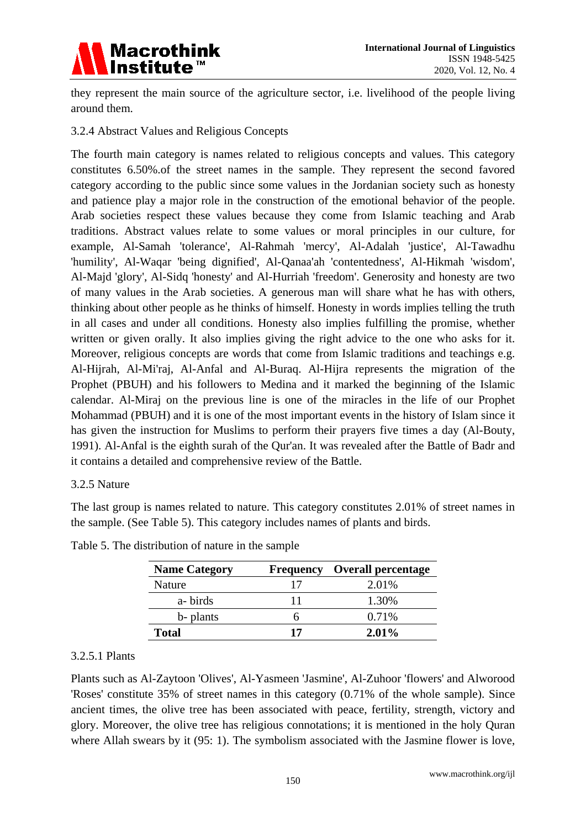

they represent the main source of the agriculture sector, i.e. livelihood of the people living around them.

## 3.2.4 Abstract Values and Religious Concepts

The fourth main category is names related to religious concepts and values. This category constitutes 6.50%.of the street names in the sample. They represent the second favored category according to the public since some values in the Jordanian society such as honesty and patience play a major role in the construction of the emotional behavior of the people. Arab societies respect these values because they come from Islamic teaching and Arab traditions. Abstract values relate to some values or moral principles in our culture, for example, Al-Samah 'tolerance', Al-Rahmah 'mercy', Al-Adalah 'justice', Al-Tawadhu 'humility', Al-Waqar 'being dignified', Al-Qanaa'ah 'contentedness', Al-Hikmah 'wisdom', Al-Majd 'glory', Al-Sidq 'honesty' and Al-Hurriah 'freedom'. Generosity and honesty are two of many values in the Arab societies. A generous man will share what he has with others, thinking about other people as he thinks of himself. Honesty in words implies telling the truth in all cases and under all conditions. Honesty also implies fulfilling the promise, whether written or given orally. It also implies giving the right advice to the one who asks for it. Moreover, religious concepts are words that come from Islamic traditions and teachings e.g. Al-Hijrah, Al-Mi'raj, Al-Anfal and Al-Buraq. Al-Hijra represents the migration of the Prophet (PBUH) and his followers to Medina and it marked the beginning of the Islamic calendar. Al-Miraj on the previous line is one of the miracles in the life of our Prophet Mohammad (PBUH) and it is one of the most important events in the history of Islam since it has given the instruction for Muslims to perform their prayers five times a day (Al-Bouty, 1991). Al-Anfal is the eighth surah of the Qur'an. It was revealed after the Battle of Badr and it contains a detailed and comprehensive review of the Battle.

#### 3.2.5 Nature

The last group is names related to nature. This category constitutes 2.01% of street names in the sample. (See Table 5). This category includes names of plants and birds.

| <b>Name Category</b> | <b>Frequency</b> | <b>Overall percentage</b> |
|----------------------|------------------|---------------------------|
| Nature               | 17               | 2.01%                     |
| a-birds              | 11               | 1.30%                     |
| b- plants            |                  | 0.71%                     |
| Total                | 17               | $2.01\%$                  |

Table 5. The distribution of nature in the sample

#### 3.2.5.1 Plants

Plants such as Al-Zaytoon 'Olives', Al-Yasmeen 'Jasmine', Al-Zuhoor 'flowers' and Alworood 'Roses' constitute 35% of street names in this category (0.71% of the whole sample). Since ancient times, the olive tree has been associated with peace, fertility, strength, victory and glory. Moreover, the olive tree has religious connotations; it is mentioned in the holy Quran where Allah swears by it (95: 1). The symbolism associated with the Jasmine flower is love,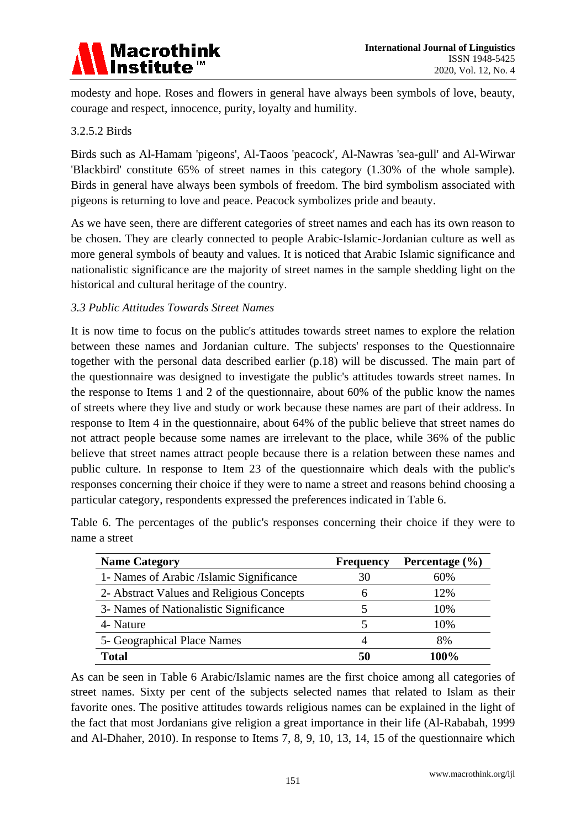

modesty and hope. Roses and flowers in general have always been symbols of love, beauty, courage and respect, innocence, purity, loyalty and humility.

## 3.2.5.2 Birds

Birds such as Al-Hamam 'pigeons', Al-Taoos 'peacock', Al-Nawras 'sea-gull' and Al-Wirwar 'Blackbird' constitute 65% of street names in this category (1.30% of the whole sample). Birds in general have always been symbols of freedom. The bird symbolism associated with pigeons is returning to love and peace. Peacock symbolizes pride and beauty.

As we have seen, there are different categories of street names and each has its own reason to be chosen. They are clearly connected to people Arabic-Islamic-Jordanian culture as well as more general symbols of beauty and values. It is noticed that Arabic Islamic significance and nationalistic significance are the majority of street names in the sample shedding light on the historical and cultural heritage of the country.

## *3.3 Public Attitudes Towards Street Names*

It is now time to focus on the public's attitudes towards street names to explore the relation between these names and Jordanian culture. The subjects' responses to the Questionnaire together with the personal data described earlier (p.18) will be discussed. The main part of the questionnaire was designed to investigate the public's attitudes towards street names. In the response to Items 1 and 2 of the questionnaire, about 60% of the public know the names of streets where they live and study or work because these names are part of their address. In response to Item 4 in the questionnaire, about 64% of the public believe that street names do not attract people because some names are irrelevant to the place, while 36% of the public believe that street names attract people because there is a relation between these names and public culture. In response to Item 23 of the questionnaire which deals with the public's responses concerning their choice if they were to name a street and reasons behind choosing a particular category, respondents expressed the preferences indicated in Table 6.

| <b>Name Category</b>                      | <b>Frequency</b> | Percentage $(\% )$ |
|-------------------------------------------|------------------|--------------------|
| 1- Names of Arabic /Islamic Significance  | 30               | 60%                |
| 2- Abstract Values and Religious Concepts |                  | 12%                |
| 3- Names of Nationalistic Significance    |                  | 10%                |
| 4- Nature                                 |                  | 10%                |
| 5- Geographical Place Names               |                  | 8%                 |
| Total                                     |                  | 100%               |

Table 6. The percentages of the public's responses concerning their choice if they were to name a street

As can be seen in Table 6 Arabic/Islamic names are the first choice among all categories of street names. Sixty per cent of the subjects selected names that related to Islam as their favorite ones. The positive attitudes towards religious names can be explained in the light of the fact that most Jordanians give religion a great importance in their life (Al-Rababah, 1999 and Al-Dhaher, 2010). In response to Items 7, 8, 9, 10, 13, 14, 15 of the questionnaire which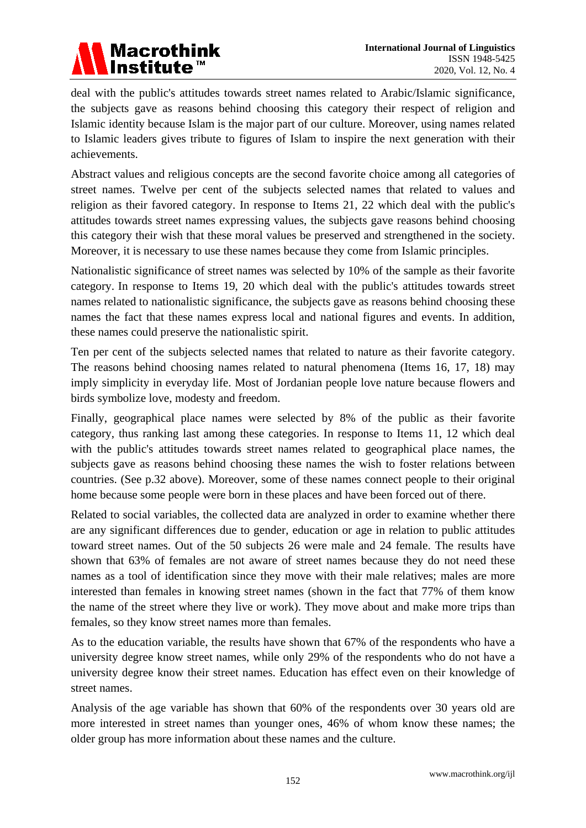

deal with the public's attitudes towards street names related to Arabic/Islamic significance, the subjects gave as reasons behind choosing this category their respect of religion and Islamic identity because Islam is the major part of our culture. Moreover, using names related to Islamic leaders gives tribute to figures of Islam to inspire the next generation with their achievements.

Abstract values and religious concepts are the second favorite choice among all categories of street names. Twelve per cent of the subjects selected names that related to values and religion as their favored category. In response to Items 21, 22 which deal with the public's attitudes towards street names expressing values, the subjects gave reasons behind choosing this category their wish that these moral values be preserved and strengthened in the society. Moreover, it is necessary to use these names because they come from Islamic principles.

Nationalistic significance of street names was selected by 10% of the sample as their favorite category. In response to Items 19, 20 which deal with the public's attitudes towards street names related to nationalistic significance, the subjects gave as reasons behind choosing these names the fact that these names express local and national figures and events. In addition, these names could preserve the nationalistic spirit.

Ten per cent of the subjects selected names that related to nature as their favorite category. The reasons behind choosing names related to natural phenomena (Items 16, 17, 18) may imply simplicity in everyday life. Most of Jordanian people love nature because flowers and birds symbolize love, modesty and freedom.

Finally, geographical place names were selected by 8% of the public as their favorite category, thus ranking last among these categories. In response to Items 11, 12 which deal with the public's attitudes towards street names related to geographical place names, the subjects gave as reasons behind choosing these names the wish to foster relations between countries. (See p.32 above). Moreover, some of these names connect people to their original home because some people were born in these places and have been forced out of there.

Related to social variables, the collected data are analyzed in order to examine whether there are any significant differences due to gender, education or age in relation to public attitudes toward street names. Out of the 50 subjects 26 were male and 24 female. The results have shown that 63% of females are not aware of street names because they do not need these names as a tool of identification since they move with their male relatives; males are more interested than females in knowing street names (shown in the fact that 77% of them know the name of the street where they live or work). They move about and make more trips than females, so they know street names more than females.

As to the education variable, the results have shown that 67% of the respondents who have a university degree know street names, while only 29% of the respondents who do not have a university degree know their street names. Education has effect even on their knowledge of street names.

Analysis of the age variable has shown that 60% of the respondents over 30 years old are more interested in street names than younger ones, 46% of whom know these names; the older group has more information about these names and the culture.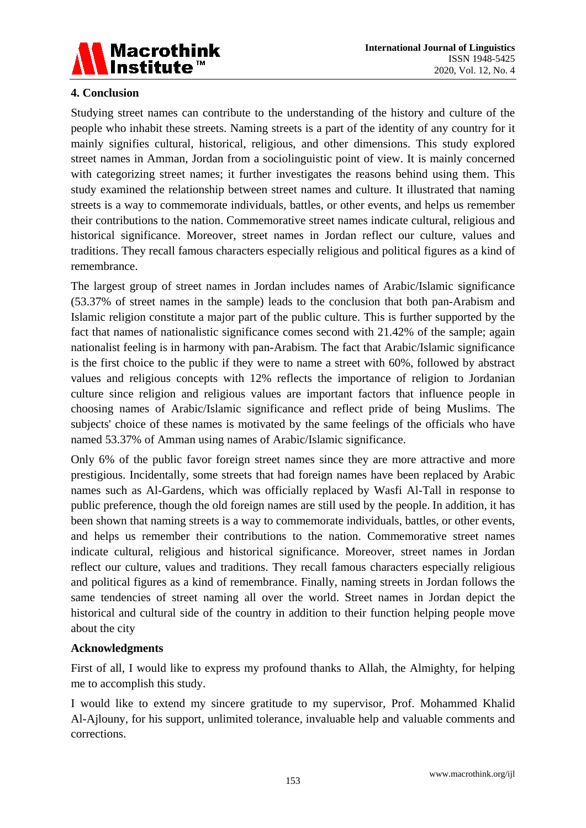

# **4. Conclusion**

Studying street names can contribute to the understanding of the history and culture of the people who inhabit these streets. Naming streets is a part of the identity of any country for it mainly signifies cultural, historical, religious, and other dimensions. This study explored street names in Amman, Jordan from a sociolinguistic point of view. It is mainly concerned with categorizing street names; it further investigates the reasons behind using them. This study examined the relationship between street names and culture. It illustrated that naming streets is a way to commemorate individuals, battles, or other events, and helps us remember their contributions to the nation. Commemorative street names indicate cultural, religious and historical significance. Moreover, street names in Jordan reflect our culture, values and traditions. They recall famous characters especially religious and political figures as a kind of remembrance.

The largest group of street names in Jordan includes names of Arabic/Islamic significance (53.37% of street names in the sample) leads to the conclusion that both pan-Arabism and Islamic religion constitute a major part of the public culture. This is further supported by the fact that names of nationalistic significance comes second with 21.42% of the sample; again nationalist feeling is in harmony with pan-Arabism. The fact that Arabic/Islamic significance is the first choice to the public if they were to name a street with 60%, followed by abstract values and religious concepts with 12% reflects the importance of religion to Jordanian culture since religion and religious values are important factors that influence people in choosing names of Arabic/Islamic significance and reflect pride of being Muslims. The subjects' choice of these names is motivated by the same feelings of the officials who have named 53.37% of Amman using names of Arabic/Islamic significance.

Only 6% of the public favor foreign street names since they are more attractive and more prestigious. Incidentally, some streets that had foreign names have been replaced by Arabic names such as Al-Gardens, which was officially replaced by Wasfi Al-Tall in response to public preference, though the old foreign names are still used by the people. In addition, it has been shown that naming streets is a way to commemorate individuals, battles, or other events, and helps us remember their contributions to the nation. Commemorative street names indicate cultural, religious and historical significance. Moreover, street names in Jordan reflect our culture, values and traditions. They recall famous characters especially religious and political figures as a kind of remembrance. Finally, naming streets in Jordan follows the same tendencies of street naming all over the world. Street names in Jordan depict the historical and cultural side of the country in addition to their function helping people move about the city

# **Acknowledgments**

First of all, I would like to express my profound thanks to Allah, the Almighty, for helping me to accomplish this study.

I would like to extend my sincere gratitude to my supervisor, Prof. Mohammed Khalid Al-Ajlouny, for his support, unlimited tolerance, invaluable help and valuable comments and corrections.